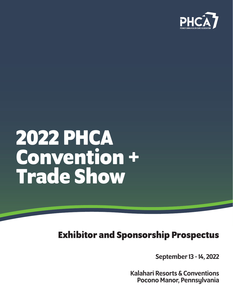

# **2022 PHCA Convention + Trade Show**

# **Exhibitor and Sponsorship Prospectus**

September 13 - 14, 2022

Kalahari Resorts & Conventions Pocono Manor, Pennsylvania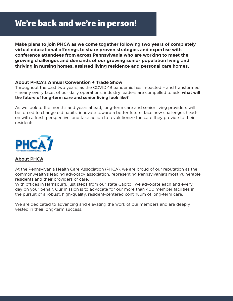## **We're back and we're in person!**

**Make plans to join PHCA as we come together following two years of completely virtual educational offerings to share proven strategies and expertise with conference attendees from across Pennsylvania who are working to meet the growing challenges and demands of our growing senior population living and thriving in nursing homes, assisted living residence and personal care homes.**

#### **About PHCA's Annual Convention + Trade Show**

Throughout the past two years, as the COVID-19 pandemic has impacted – and transformed – nearly every facet of our daily operations, industry leaders are compelled to ask: **what will the future of long-term care and senior living look like?** 

As we look to the months and years ahead, long-term care and senior living providers will be forced to change old habits, innovate toward a better future, face new challenges headon with a fresh perspective, and take action to revolutionize the care they provide to their residents.



### **About PHCA**

At the Pennsylvania Health Care Association (PHCA), we are proud of our reputation as the commonwealth's leading advocacy association, representing Pennsylvania's most vulnerable residents and their providers of care.

With offices in Harrisburg, just steps from our state Capitol, we advocate each and every day on your behalf. Our mission is to advocate for our more than 400 member facilities in the pursuit of a robust, high-quality, resident-centered continuum of long-term care.

We are dedicated to advancing and elevating the work of our members and are deeply vested in their long-term success.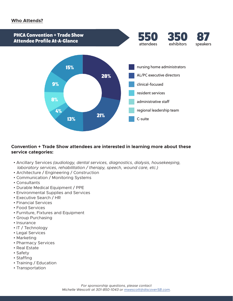#### **Who Attends?**



#### **Convention + Trade Show attendees are interested in learning more about these service categories:**

- Ancillary Services *(audiology, dental services, diagnostics, dialysis, housekeeping, laboratory services, rehabilitation / therapy, speech, wound care, etc.)*
- Architecture / Engineering / Construction
- Communication / Monitoring Systems
- Consultants
- Durable Medical Equipment / PPE
- Environmental Supplies and Services
- Executive Search / HR
- Financial Services
- Food Services
- Furniture, Fixtures and Equipment
- Group Purchasing
- Insurance
- IT / Technology
- Legal Services
- Marketing
- Pharmacy Services
- Real Estate
- Safety
- Staffing
- Training / Education
- Transportation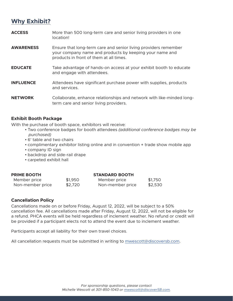### **Why Exhibit?**

**ACCESS** More than 500 long-term care and senior living providers in one location! **AWARENESS** Ensure that long-term care and senior living providers remember your company name and products by keeping your name and products in front of them at all times. **EDUCATE** Take advantage of hands-on access at your exhibit booth to educate and engage with attendees. **INFLUENCE** Attendees have significant purchase power with supplies, products and services. **NETWORK** Collaborate, enhance relationships and network with like-minded longterm care and senior living providers.

#### **Exhibit Booth Package**

With the purchase of booth space, exhibitors will receive:

- Two conference badges for booth attendees *(additional conference badges may be purchased)*
- 6' table and two chairs
- complimentary exhibitor listing online and in convention + trade show mobile app
- company ID sign
- backdrop and side-rail drape
- carpeted exhibit hall

#### **PRIME BOOTH STANDARD BOOTH**

| Member price     | \$1,950 | Member price     | \$1,750 |
|------------------|---------|------------------|---------|
| Non-member price | \$2,720 | Non-member price | \$2,530 |

#### **Cancellation Policy**

Cancellations made on or before Friday, August 12, 2022, will be subject to a 50% cancellation fee. All cancellations made after Friday, August 12, 2022, will not be eligible for a refund. PHCA events will be held regardless of inclement weather. No refund or credit will be provided if a participant elects not to attend the event due to inclement weather.

Participants accept all liability for their own travel choices.

All cancellation requests must be submitted in writing to [mwescott@discoversb.com.](mailto:mwescott%40discoversb.com?subject=)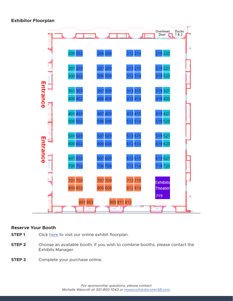#### **Exhibitor Floorplan**



#### **Reserve Your Booth**

- **STEP 1** Click [here](https://www.conferenceharvester.com/floorplan/floorplan.asp?EventKey=BDRIFZOR) to visit our online exhibit floorplan.
- **STEP 2** Choose an available booth. If you wish to combine booths, please contact the Exhibits Manager.
- **STEP 3** Complete your purchase online.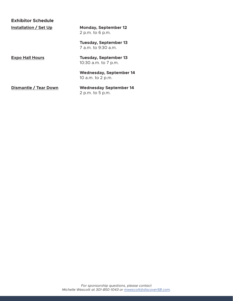| <b>Exhibitor Schedule</b>    |                                                      |  |  |
|------------------------------|------------------------------------------------------|--|--|
| Installation / Set Up        | <b>Monday, September 12</b><br>2 p.m. to 6 p.m.      |  |  |
|                              | <b>Tuesday, September 13</b><br>7 a.m. to 9:30 a.m.  |  |  |
| <b>Expo Hall Hours</b>       | <b>Tuesday, September 13</b><br>10:30 a.m. to 7 p.m. |  |  |
|                              | <b>Wednesday, September 14</b><br>10 a.m. to 2 p.m.  |  |  |
| <b>Dismantle / Tear Down</b> | <b>Wednesday September 14</b>                        |  |  |

2 p.m. to 5 p.m.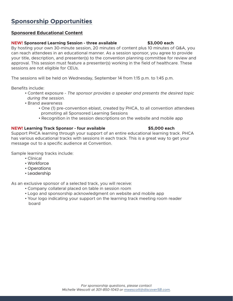### **Sponsorship Opportunities**

### **Sponsored Educational Content**

#### **NEW! Sponsored Learning Session - three available \$3,000 each**

By hosting your own 30-minute session, 20 minutes of content plus 10 minutes of Q&A, you can reach attendees in an educational manner. As a session sponsor, you agree to provide your title, description, and presenter(s) to the convention planning committee for review and approval. This session must feature a presenter(s) working in the field of healthcare. These sessions are not eligible for CEUs.

The sessions will be held on Wednesday, September 14 from 1:15 p.m. to 1:45 p.m.

Benefits include:

- Content exposure *The sponsor provides a speaker and presents the desired topic during the session.*
- Brand awareness
	- One (1) pre-convention eblast, created by PHCA, to all convention attendees promoting all Sponsored Learning Sessions
	- Recognition in the session descriptions on the website and mobile app

### **NEW! Learning Track Sponsor - four available \$5,000 each**

#### Support PHCA learning through your support of an entire educational learning track. PHCA has various educational tracks with sessions in each track. This is a great way to get your message out to a specific audience at Convention.

Sample learning tracks include:

- Clinical
- Workforce
- Operations
- Leadership

As an exclusive sponsor of a selected track, you will receive:

- Company collateral placed on table in session room
- Logo and sponsorship acknowledgment on website and mobile app
- Your logo indicating your support on the learning track meeting room reader board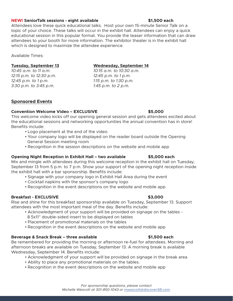#### **NEW! SeniorTalk sessions - eight available \$1,500 each**

Attendees love these quick educational talks. Host your own 15-minute Senior Talk on a topic of your choice. These talks will occur in the exhibit hall. Attendees can enjoy a quick educational session in this popular format. You provide the teaser information that can draw attendees to your booth for more information. The exhibitor theater is in the exhibit hall which is designed to maximize the attendee experience.

Available Times:

*10:45 a.m. to 11 a.m. 10:15 a.m. to 10:30 a.m. 12:15 p.m. to 12:30 p.m. 12:45 p.m. to 1 p.m. 12:45 p.m. to 1 p.m. 1:15 p.m. to 1:30 p.m. 3:30 p.m. to 3:45 p.m. 1:45 p.m. to 2 p.m.*

#### **Tuesday, September 13 Wednesday, September 14**

#### **Sponsored Events**

#### **Convention Welcome Video – EXCLUSIVE \$5,000**

This welcome video kicks off our opening general session and gets attendees excited about the educational sessions and networking opportunities the annual convention has in store! Benefits include:

- Logo placement at the end of the video
- Your company logo will be displayed on the reader board outside the Opening General Session meeting room
- Recognition in the session descriptions on the website and mobile app

#### **Opening Night Reception in Exhibit Hall – two available \$5,000 each**

Mix and mingle with attendees during this welcome reception in the exhibit hall on Tuesday, September 13 from 5 p.m. to 7 p.m. Show your support of the opening night reception inside the exhibit hall with a bar sponsorship. Benefits include:

- Signage with your company logo in Exhibit Hall Area during the event
- Cocktail napkins with the sponsor's company logo
- Recognition in the event descriptions on the website and mobile app

#### **Breakfast - EXCLUSIVE \$3,000**

Rise and shine for this breakfast sponsorship available on Tuesday, September 13. Support attendees with the most important meal of the day. Benefits include:

- Acknowledgment of your support will be provided on signage on the tables -
- 8.5x11" double-sided insert to be displayed on tables
- Placement of promotional materials on the tables
- Recognition in the event descriptions on the website and mobile app

#### **Beverage & Snack Break – three available \$1,500 each**

Be remembered for providing the morning or afternoon re-fuel for attendees. Morning and afternoon breaks are available on Tuesday, September 13. A morning break is available Wednesday, September 14. Benefits include:

- Acknowledgment of your support will be provided on signage in the break area
- Ability to place any promotional materials on the tables.
- Recognition in the event descriptions on the website and mobile app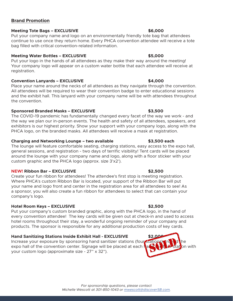### **Brand Promotion**

#### **Meeting Tote Bags – EXCLUSIVE 86,000 \$6,000 \$6,000 \$6,000 \$6,000 \$6,000 \$6,000 \$6,000 \$6,000 \$6,000 \$6,000 \$6,000 \$6,000 \$6,000 \$6,000 \$6,000 \$6,000 \$6,000 \$6,000 \$6,000 \$6,000 \$6,000 \$6,000 \$6,000 \$6,000 \$6,000 \$6,000 \$6**

Put your company name and logo on an environmentally friendly tote bag that attendees continue to use once they return home. Every PHCA convention attendee will receive a tote bag filled with critical convention-related information.

### **Meeting Water Bottles – EXCLUSIVE \$5,000**

Put your logo in the hands of all attendees as they make their way around the meeting! Your company logo will appear on a custom water bottle that each attendee will receive at registration.

### **Convention Lanyards – EXCLUSIVE \$4,000**

Place your name around the necks of all attendees as they navigate through the convention. All attendees will be required to wear their convention badge to enter educational sessions and the exhibit hall. This lanyard with your company name will be with attendees throughout the convention.

### **Sponsored Branded Masks – EXCLUSIVE \$3,500**

The COVID-19 pandemic has fundamentally changed every facet of the way we work - and the way we plan our in-person events. The health and safety of all attendees, speakers, and exhibitors is our highest priority. Show your support with your company logo, along with the PHCA logo, on the branded masks. All attendees will receive a mask at registration.

### **Charging and Networking Lounge – two available \$3,500 each**

The lounge will feature comfortable seating, charging stations, easy access to the expo hall, general sessions, and registration - two days of terrific visibility! Tent cards will be placed around the lounge with your company name and logo, along with a floor sticker with your custom graphic and the PHCA logo (approx. size 3'x2').

### **NEW! Ribbon Bar – EXCLUSIVE \$2,500**

Create your fun ribbon for attendees! The attendee's first stop is meeting registration. Where PHCA's custom Ribbon Bar is located, your support of the Ribbon Bar will put your name and logo front and center in the registration area for all attendees to see! As a sponsor, you will also create a fun ribbon for attendees to select that can contain your company's logo.

### **Hotel Room Keys – EXCLUSIVE \$2,500**

Put your company's custom branded graphic, along with the PHCA logo, in the hand of every convention attendee! The key cards will be given out at check-in and used to access hotel rooms throughout their stay, a wonderful ongoing reminder of your company and products. The sponsor is responsible for any additional production costs of key cards.

### **Hand Sanitizing Stations Inside Exhibit Hall - EXCLUSIVE \$2,000**

Increase your exposure by sponsoring hand sanitizer stations (four stations) around the expo hall of the convention center. Signage will be placed at each **half station** with your custom logo (approximate size - 27" x 32").

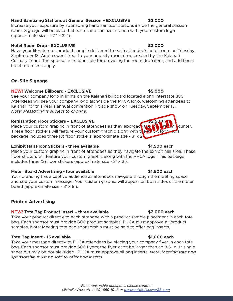### **Hand Sanitizing Stations at General Session – EXCLUSIVE \$2,000**

Increase your exposure by sponsoring hand sanitizer stations inside the general session room. Signage will be placed at each hand sanitizer station with your custom logo (approximate size - 27" x 32").

### **Hotel Room Drop - EXCLUSIVE \$2,000**

Have your literature or product sample delivered to each attendee's hotel room on Tuesday, September 13. Add a sweet treat to your amenity room drop created by the Kalahari Culinary Team. The sponsor is responsible for providing the room drop item, and additional hotel room fees apply.

### **On-Site Signage**

### **NEW! Welcome Billboard - EXCLUSIVE \$5,000**

See your company logo in lights on the Kalahari billboard located along Interstate 380. Attendees will see your company logo alongside the PHCA logo, welcoming attendees to Kalahari for this year's annual convention + trade show on Tuesday, September 13. *Note: Messaging is subject to change.*

### **Registration Floor Stickers - EXCLUSIVE**

Place your custom graphic in front of attendees as they approach the registration counter. These floor stickers will feature your custom graphic along with the PHCA logo. package includes three (3) floor stickers (approximate size -  $3' \times 2'$ 

### **Exhibit Hall Floor Stickers - three available \$1,500 each**

Place your custom graphic in front of attendees as they navigate the exhibit hall area. These floor stickers will feature your custom graphic along with the PHCA logo. This package includes three (3) floor stickers (approximate size - 3' x 2').

### **Meter Board Advertising - four available \$1,500 each**

Your branding has a captive audience as attendees navigate through the meeting space and see your custom message. Your custom graphic will appear on both sides of the meter board (approximate size - 3' x 8').

### **Printed Advertising**

### **NEW! Tote Bag Product Insert – three available \$2,000 each**

Take your product directly to each attendee with a product sample placement in each tote bag. Each sponsor must provide 600 product samples. PHCA must approve all product samples. Note: Meeting tote bag sponsorship must be sold to offer bag inserts.

### **Tote Bag Insert - 15 available \$1,000 each**

Take your message directly to PHCA attendees by placing your company flyer in each tote bag. Each sponsor must provide 600 flyers; the flyer can't be larger than an 8.5" x 11" single sheet but may be double-sided. PHCA must approve all bag inserts. *Note: Meeting tote bag sponsorship must be sold to offer bag inserts.*

*For sponsorship questions, please contact Michelle Wescott at 301-850-1043 or [mwescott@discoverSB.com](mailto:mwescott%40discoverSB.com?subject=IGNITE%202022%20-%20PHCA%20AL/PC%20Summit).*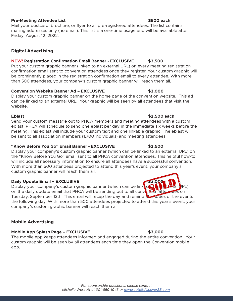#### *For sponsorship questions, please contact Michelle Wescott at 301-850-1043 or [mwescott@discoverSB.com](mailto:mwescott%40discoverSB.com?subject=IGNITE%202022%20-%20PHCA%20AL/PC%20Summit).*

#### **Pre-Meeting Attendee List \$500 each**

Mail your postcard, brochure, or flyer to all pre-registered attendees. The list contains mailing addresses only (no email). This list is a one-time usage and will be available after Friday, August 12, 2022.

#### **Digital Advertising**

#### **NEW! Registration Confirmation Email Banner - EXCLUSIVE \$3,500**

Put your custom graphic banner (linked to an external URL) on every meeting registration confirmation email sent to convention attendees once they register. Your custom graphic will be prominently placed in the registration confirmation email to every attendee. With more than 500 attendees, your company's custom graphic banner will reach them all.

#### **Convention Website Banner Ad – EXCLUSIVE \$3,000**

Display your custom graphic banner on the home page of the convention website. This ad can be linked to an external URL. Your graphic will be seen by all attendees that visit the website.

Send your custom message out to PHCA members and meeting attendees with a custom eblast. PHCA will schedule to send one eblast per day in the immediate six weeks before the meeting. This eblast will include your custom text and one linkable graphic. The eblast will be sent to all association members (1,700 individuals) and meeting attendees.

#### **"Know Before You Go" Email Banner - EXCLUSIVE \$2,500**

Display your company's custom graphic banner (which can be linked to an external URL) on the "Know Before You Go" email sent to all PHCA convention attendees. This helpful how-to will include all necessary information to ensure all attendees have a successful convention. With more than 500 attendees projected to attend this year's event, your company's custom graphic banner will reach them all.

#### **Daily Update Email - EXCLUSIVE**

Display your company's custom graphic banner (which can be linked to a set that I IRL) on the daily update email that PHCA will be sending out to all convention attendees on Tuesday, September 13th. This email will recap the day and remind attendees of the events the following day. With more than 500 attendees projected to attend this year's event, your company's custom graphic banner will reach them all.

### **Mobile Advertising**

#### **Mobile App Splash Page – EXCLUSIVE 1999 12000 12000 133,000**

The mobile app keeps attendees informed and engaged during the entire convention. Your custom graphic will be seen by all attendees each time they open the Convention mobile app.

#### **Eblast \$2,500 each**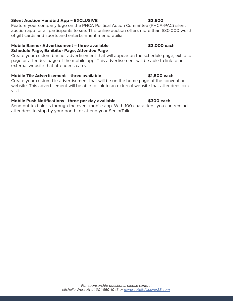#### **Silent Auction Handbid App – EXCLUSIVE \$2,500**

Feature your company logo on the PHCA Political Action Committee (PHCA-PAC) silent auction app for all participants to see. This online auction offers more than \$30,000 worth of gift cards and sports and entertainment memorabilia.

#### **Mobile Banner Advertisement – three available \$2,000 each Schedule Page, Exhibitor Page, Attendee Page**

Create your custom banner advertisement that will appear on the schedule page, exhibitor page or attendee page of the mobile app. This advertisement will be able to link to an external website that attendees can visit

#### **Mobile Tile Advertisement – three available \$1,500 each**

Create your custom tile advertisement that will be on the home page of the convention website. This advertisement will be able to link to an external website that attendees can visit.

#### **Mobile Push Notifications - three per day available \$300 each**

Send out text alerts through the event mobile app. With 100 characters, you can remind attendees to stop by your booth, or attend your SeniorTalk.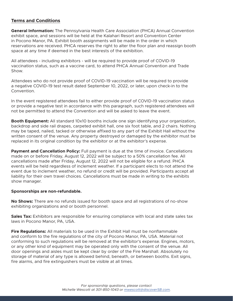#### **Terms and Conditions**

**General Information:** The Pennsylvania Health Care Association (PHCA) Annual Convention exhibit space, and sessions will be held at the Kalahari Resort and Convention Center in Pocono Manor, PA. Exhibit booth assignments will be made in the order in which reservations are received. PHCA reserves the right to alter the floor plan and reassign booth space at any time if deemed in the best interests of the exhibition.

All attendees - including exhibitors - will be required to provide proof of COVID-19 vaccination status, such as a vaccine card, to attend PHCA Annual Convention and Trade Show.

Attendees who do not provide proof of COVID-19 vaccination will be required to provide a negative COVID-19 test result dated September 10, 2022, or later, upon check-in to the Convention.

In the event registered attendees fail to either provide proof of COVID-19 vaccination status or provide a negative test in accordance with this paragraph, such registered attendees will not be permitted to attend the Convention and will be asked to leave the event.

**Booth Equipment:** All standard 10x10 booths include one sign identifying your organization, backdrop and side rail drapes, carpeted exhibit hall, one six foot table, and 2 chairs. Nothing may be taped, nailed, tacked or otherwise affixed to any part of the Exhibit Hall without the written consent of the venue. Any property destroyed or damaged by the exhibitor must be replaced in its original condition by the exhibitor or at the exhibitor's expense.

**Payment and Cancellation Policy:** Full payment is due at the time of invoice. Cancellations made on or before Friday, August 12, 2022 will be subject to a 50% cancellation fee. All cancellations made after Friday, August 12, 2022 will not be eligible for a refund. PHCA events will be held regardless of inclement weather. If a participant elects to not attend the event due to inclement weather, no refund or credit will be provided. Participants accept all liability for their own travel choices. Cancellations must be made in writing to the exhibits show manager.

#### **Sponsorships are non-refundable.**

**No Shows:** There are no refunds issued for booth space and all registrations of no-show exhibiting organizations and or booth personnel.

**Sales Tax:** Exhibitors are responsible for ensuring compliance with local and state sales tax laws in Pocono Manor, PA, USA.

**Fire Regulations:** All materials to be used in the Exhibit Hall must be nonflammable and conform to the fire regulations of the city of Pocono Manor, PA, USA. Material not conforming to such regulations will be removed at the exhibitor's expense. Engines, motors, or any other kind of equipment may be operated only with the consent of the venue. All door openings and aisles must be kept clear by order of the Fire Marshall. Absolutely no storage of material of any type is allowed behind, beneath, or between booths. Exit signs, fire alarms, and fire extinguishers must be visible at all times.